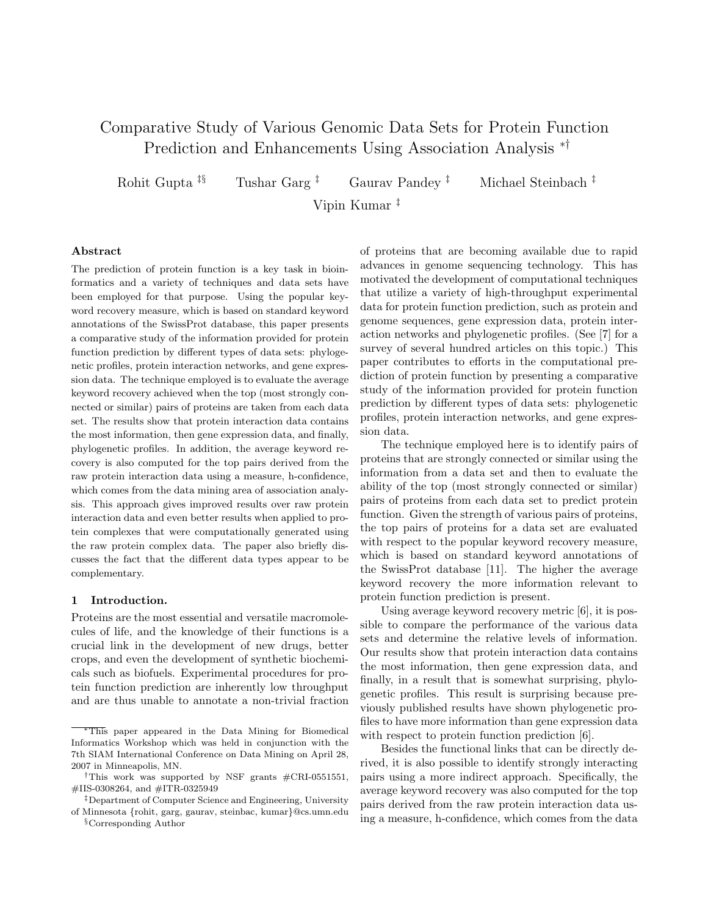# Comparative Study of Various Genomic Data Sets for Protein Function Prediction and Enhancements Using Association Analysis ∗†

Rohit Gupta <sup>‡§</sup> Tushar Garg<sup>‡</sup> Gaurav Pandey <sup>‡</sup> Michael Steinbach <sup>‡</sup>

Vipin Kumar ‡

#### Abstract

The prediction of protein function is a key task in bioinformatics and a variety of techniques and data sets have been employed for that purpose. Using the popular keyword recovery measure, which is based on standard keyword annotations of the SwissProt database, this paper presents a comparative study of the information provided for protein function prediction by different types of data sets: phylogenetic profiles, protein interaction networks, and gene expression data. The technique employed is to evaluate the average keyword recovery achieved when the top (most strongly connected or similar) pairs of proteins are taken from each data set. The results show that protein interaction data contains the most information, then gene expression data, and finally, phylogenetic profiles. In addition, the average keyword recovery is also computed for the top pairs derived from the raw protein interaction data using a measure, h-confidence, which comes from the data mining area of association analysis. This approach gives improved results over raw protein interaction data and even better results when applied to protein complexes that were computationally generated using the raw protein complex data. The paper also briefly discusses the fact that the different data types appear to be complementary.

#### 1 Introduction.

Proteins are the most essential and versatile macromolecules of life, and the knowledge of their functions is a crucial link in the development of new drugs, better crops, and even the development of synthetic biochemicals such as biofuels. Experimental procedures for protein function prediction are inherently low throughput and are thus unable to annotate a non-trivial fraction

§Corresponding Author

of proteins that are becoming available due to rapid advances in genome sequencing technology. This has motivated the development of computational techniques that utilize a variety of high-throughput experimental data for protein function prediction, such as protein and genome sequences, gene expression data, protein interaction networks and phylogenetic profiles. (See [7] for a survey of several hundred articles on this topic.) This paper contributes to efforts in the computational prediction of protein function by presenting a comparative study of the information provided for protein function prediction by different types of data sets: phylogenetic profiles, protein interaction networks, and gene expression data.

The technique employed here is to identify pairs of proteins that are strongly connected or similar using the information from a data set and then to evaluate the ability of the top (most strongly connected or similar) pairs of proteins from each data set to predict protein function. Given the strength of various pairs of proteins, the top pairs of proteins for a data set are evaluated with respect to the popular keyword recovery measure, which is based on standard keyword annotations of the SwissProt database [11]. The higher the average keyword recovery the more information relevant to protein function prediction is present.

Using average keyword recovery metric [6], it is possible to compare the performance of the various data sets and determine the relative levels of information. Our results show that protein interaction data contains the most information, then gene expression data, and finally, in a result that is somewhat surprising, phylogenetic profiles. This result is surprising because previously published results have shown phylogenetic profiles to have more information than gene expression data with respect to protein function prediction [6].

Besides the functional links that can be directly derived, it is also possible to identify strongly interacting pairs using a more indirect approach. Specifically, the average keyword recovery was also computed for the top pairs derived from the raw protein interaction data using a measure, h-confidence, which comes from the data

<sup>∗</sup>This paper appeared in the Data Mining for Biomedical Informatics Workshop which was held in conjunction with the 7th SIAM International Conference on Data Mining on April 28, 2007 in Minneapolis, MN.

<sup>†</sup>This work was supported by NSF grants #CRI-0551551, #IIS-0308264, and #ITR-0325949

<sup>‡</sup>Department of Computer Science and Engineering, University of Minnesota {rohit, garg, gaurav, steinbac, kumar}@cs.umn.edu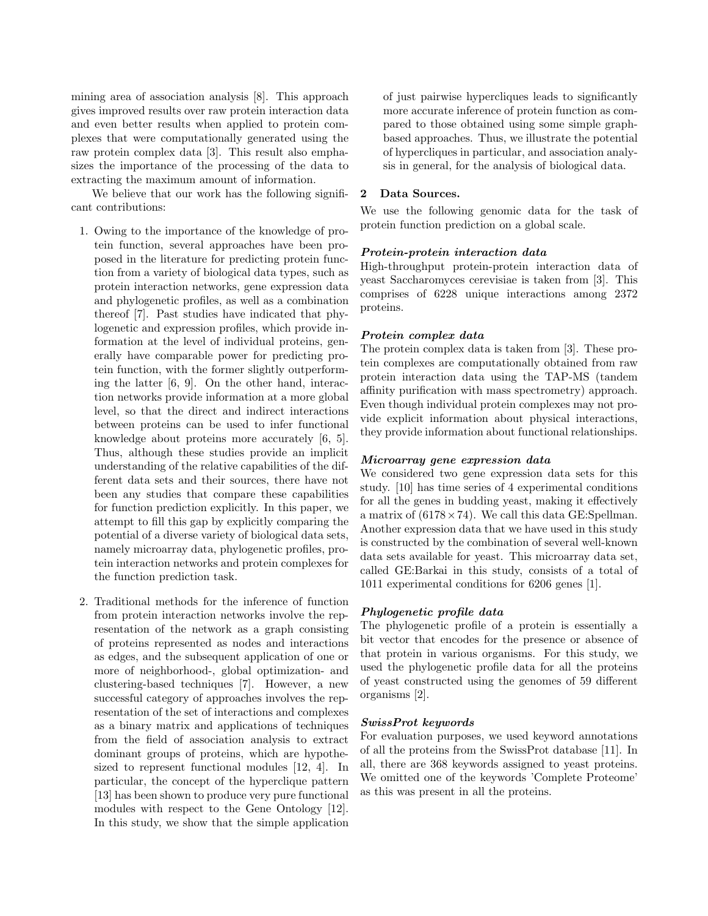mining area of association analysis [8]. This approach gives improved results over raw protein interaction data and even better results when applied to protein complexes that were computationally generated using the raw protein complex data [3]. This result also emphasizes the importance of the processing of the data to extracting the maximum amount of information.

We believe that our work has the following significant contributions:

- 1. Owing to the importance of the knowledge of protein function, several approaches have been proposed in the literature for predicting protein function from a variety of biological data types, such as protein interaction networks, gene expression data and phylogenetic profiles, as well as a combination thereof [7]. Past studies have indicated that phylogenetic and expression profiles, which provide information at the level of individual proteins, generally have comparable power for predicting protein function, with the former slightly outperforming the latter [6, 9]. On the other hand, interaction networks provide information at a more global level, so that the direct and indirect interactions between proteins can be used to infer functional knowledge about proteins more accurately [6, 5]. Thus, although these studies provide an implicit understanding of the relative capabilities of the different data sets and their sources, there have not been any studies that compare these capabilities for function prediction explicitly. In this paper, we attempt to fill this gap by explicitly comparing the potential of a diverse variety of biological data sets, namely microarray data, phylogenetic profiles, protein interaction networks and protein complexes for the function prediction task.
- 2. Traditional methods for the inference of function from protein interaction networks involve the representation of the network as a graph consisting of proteins represented as nodes and interactions as edges, and the subsequent application of one or more of neighborhood-, global optimization- and clustering-based techniques [7]. However, a new successful category of approaches involves the representation of the set of interactions and complexes as a binary matrix and applications of techniques from the field of association analysis to extract dominant groups of proteins, which are hypothesized to represent functional modules [12, 4]. In particular, the concept of the hyperclique pattern [13] has been shown to produce very pure functional modules with respect to the Gene Ontology [12]. In this study, we show that the simple application

of just pairwise hypercliques leads to significantly more accurate inference of protein function as compared to those obtained using some simple graphbased approaches. Thus, we illustrate the potential of hypercliques in particular, and association analysis in general, for the analysis of biological data.

## 2 Data Sources.

We use the following genomic data for the task of protein function prediction on a global scale.

## Protein-protein interaction data

High-throughput protein-protein interaction data of yeast Saccharomyces cerevisiae is taken from [3]. This comprises of 6228 unique interactions among 2372 proteins.

## Protein complex data

The protein complex data is taken from [3]. These protein complexes are computationally obtained from raw protein interaction data using the TAP-MS (tandem affinity purification with mass spectrometry) approach. Even though individual protein complexes may not provide explicit information about physical interactions, they provide information about functional relationships.

#### Microarray gene expression data

We considered two gene expression data sets for this study. [10] has time series of 4 experimental conditions for all the genes in budding yeast, making it effectively a matrix of  $(6178 \times 74)$ . We call this data GE:Spellman. Another expression data that we have used in this study is constructed by the combination of several well-known data sets available for yeast. This microarray data set, called GE:Barkai in this study, consists of a total of 1011 experimental conditions for 6206 genes [1].

# Phylogenetic profile data

The phylogenetic profile of a protein is essentially a bit vector that encodes for the presence or absence of that protein in various organisms. For this study, we used the phylogenetic profile data for all the proteins of yeast constructed using the genomes of 59 different organisms [2].

#### SwissProt keywords

For evaluation purposes, we used keyword annotations of all the proteins from the SwissProt database [11]. In all, there are 368 keywords assigned to yeast proteins. We omitted one of the keywords 'Complete Proteome' as this was present in all the proteins.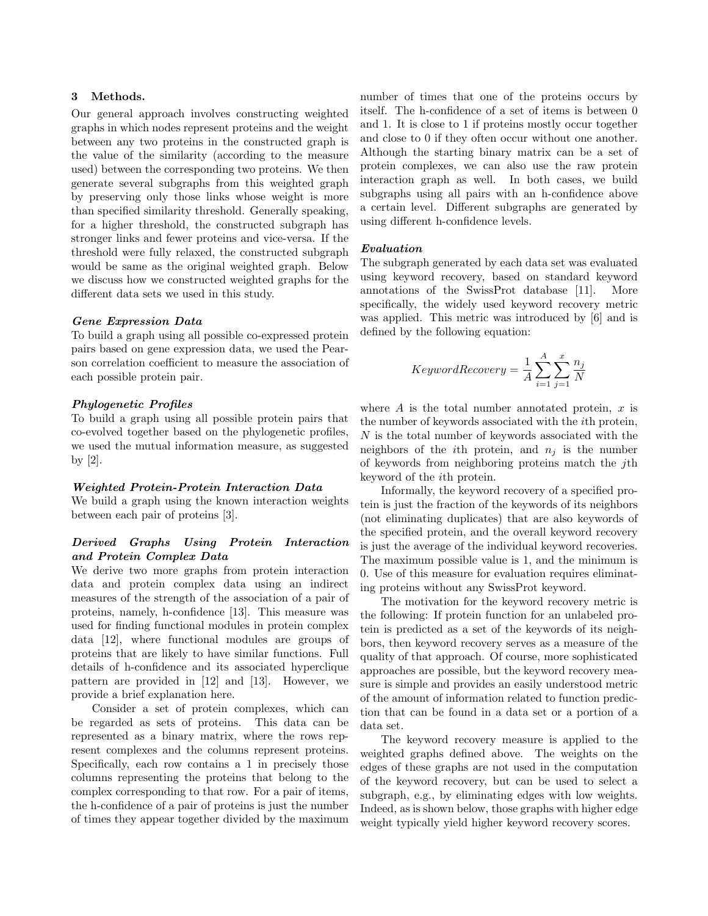#### 3 Methods.

Our general approach involves constructing weighted graphs in which nodes represent proteins and the weight between any two proteins in the constructed graph is the value of the similarity (according to the measure used) between the corresponding two proteins. We then generate several subgraphs from this weighted graph by preserving only those links whose weight is more than specified similarity threshold. Generally speaking, for a higher threshold, the constructed subgraph has stronger links and fewer proteins and vice-versa. If the threshold were fully relaxed, the constructed subgraph would be same as the original weighted graph. Below we discuss how we constructed weighted graphs for the different data sets we used in this study.

#### Gene Expression Data

To build a graph using all possible co-expressed protein pairs based on gene expression data, we used the Pearson correlation coefficient to measure the association of each possible protein pair.

## Phylogenetic Profiles

To build a graph using all possible protein pairs that co-evolved together based on the phylogenetic profiles, we used the mutual information measure, as suggested by [2].

#### Weighted Protein-Protein Interaction Data

We build a graph using the known interaction weights between each pair of proteins [3].

# Derived Graphs Using Protein Interaction and Protein Complex Data

We derive two more graphs from protein interaction data and protein complex data using an indirect measures of the strength of the association of a pair of proteins, namely, h-confidence [13]. This measure was used for finding functional modules in protein complex data [12], where functional modules are groups of proteins that are likely to have similar functions. Full details of h-confidence and its associated hyperclique pattern are provided in [12] and [13]. However, we provide a brief explanation here.

Consider a set of protein complexes, which can be regarded as sets of proteins. This data can be represented as a binary matrix, where the rows represent complexes and the columns represent proteins. Specifically, each row contains a 1 in precisely those columns representing the proteins that belong to the complex corresponding to that row. For a pair of items, the h-confidence of a pair of proteins is just the number of times they appear together divided by the maximum

number of times that one of the proteins occurs by itself. The h-confidence of a set of items is between 0 and 1. It is close to 1 if proteins mostly occur together and close to 0 if they often occur without one another. Although the starting binary matrix can be a set of protein complexes, we can also use the raw protein interaction graph as well. In both cases, we build subgraphs using all pairs with an h-confidence above a certain level. Different subgraphs are generated by using different h-confidence levels.

#### Evaluation

The subgraph generated by each data set was evaluated using keyword recovery, based on standard keyword annotations of the SwissProt database [11]. More specifically, the widely used keyword recovery metric was applied. This metric was introduced by [6] and is defined by the following equation:

$$
KeywordsRecovery = \frac{1}{A} \sum_{i=1}^{A} \sum_{j=1}^{x} \frac{n_j}{N}
$$

where A is the total number annotated protein,  $x$  is the number of keywords associated with the ith protein, N is the total number of keywords associated with the neighbors of the *i*th protein, and  $n_i$  is the number of keywords from neighboring proteins match the jth keyword of the ith protein.

Informally, the keyword recovery of a specified protein is just the fraction of the keywords of its neighbors (not eliminating duplicates) that are also keywords of the specified protein, and the overall keyword recovery is just the average of the individual keyword recoveries. The maximum possible value is 1, and the minimum is 0. Use of this measure for evaluation requires eliminating proteins without any SwissProt keyword.

The motivation for the keyword recovery metric is the following: If protein function for an unlabeled protein is predicted as a set of the keywords of its neighbors, then keyword recovery serves as a measure of the quality of that approach. Of course, more sophisticated approaches are possible, but the keyword recovery measure is simple and provides an easily understood metric of the amount of information related to function prediction that can be found in a data set or a portion of a data set.

The keyword recovery measure is applied to the weighted graphs defined above. The weights on the edges of these graphs are not used in the computation of the keyword recovery, but can be used to select a subgraph, e.g., by eliminating edges with low weights. Indeed, as is shown below, those graphs with higher edge weight typically yield higher keyword recovery scores.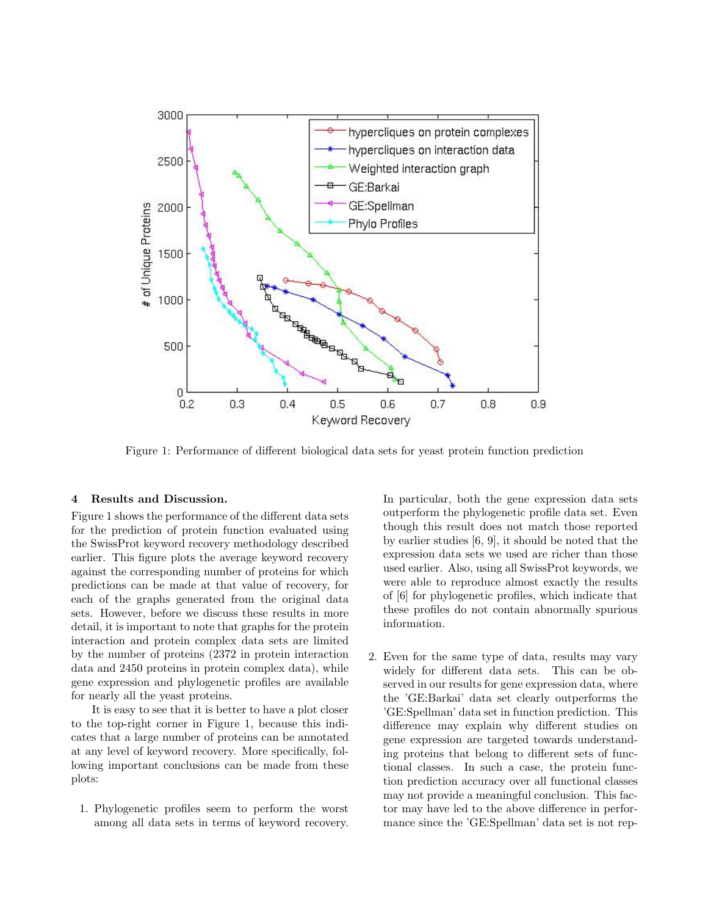

Figure 1: Performance of different biological data sets for yeast protein function prediction

#### 4 Results and Discussion.

Figure 1 shows the performance of the different data sets for the prediction of protein function evaluated using the SwissProt keyword recovery methodology described earlier. This figure plots the average keyword recovery against the corresponding number of proteins for which predictions can be made at that value of recovery, for each of the graphs generated from the original data sets. However, before we discuss these results in more detail, it is important to note that graphs for the protein interaction and protein complex data sets are limited by the number of proteins (2372 in protein interaction data and 2450 proteins in protein complex data), while gene expression and phylogenetic profiles are available for nearly all the yeast proteins.

It is easy to see that it is better to have a plot closer to the top-right corner in Figure 1, because this indicates that a large number of proteins can be annotated at any level of keyword recovery. More specifically, following important conclusions can be made from these plots:

1. Phylogenetic profiles seem to perform the worst among all data sets in terms of keyword recovery. In particular, both the gene expression data sets outperform the phylogenetic profile data set. Even though this result does not match those reported by earlier studies [6, 9], it should be noted that the expression data sets we used are richer than those used earlier. Also, using all SwissProt keywords, we were able to reproduce almost exactly the results of [6] for phylogenetic profiles, which indicate that these profiles do not contain abnormally spurious information.

2. Even for the same type of data, results may vary widely for different data sets. This can be observed in our results for gene expression data, where the 'GE:Barkai' data set clearly outperforms the 'GE:Spellman' data set in function prediction. This difference may explain why different studies on gene expression are targeted towards understanding proteins that belong to different sets of functional classes. In such a case, the protein function prediction accuracy over all functional classes may not provide a meaningful conclusion. This factor may have led to the above difference in performance since the 'GE:Spellman' data set is not rep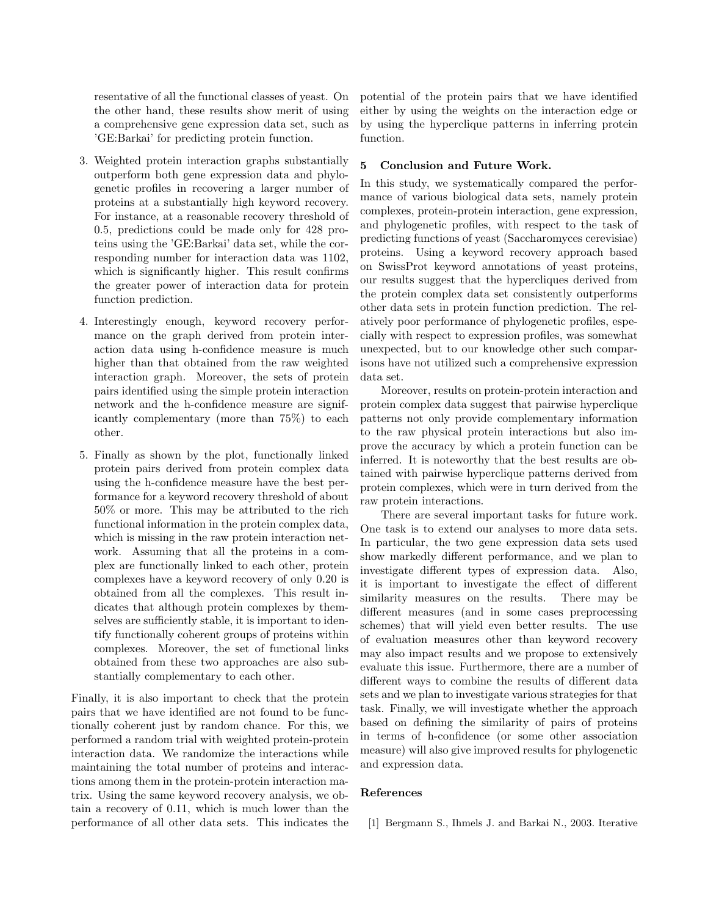resentative of all the functional classes of yeast. On the other hand, these results show merit of using a comprehensive gene expression data set, such as 'GE:Barkai' for predicting protein function.

- 3. Weighted protein interaction graphs substantially outperform both gene expression data and phylogenetic profiles in recovering a larger number of proteins at a substantially high keyword recovery. For instance, at a reasonable recovery threshold of 0.5, predictions could be made only for 428 proteins using the 'GE:Barkai' data set, while the corresponding number for interaction data was 1102, which is significantly higher. This result confirms the greater power of interaction data for protein function prediction.
- 4. Interestingly enough, keyword recovery performance on the graph derived from protein interaction data using h-confidence measure is much higher than that obtained from the raw weighted interaction graph. Moreover, the sets of protein pairs identified using the simple protein interaction network and the h-confidence measure are significantly complementary (more than 75%) to each other.
- 5. Finally as shown by the plot, functionally linked protein pairs derived from protein complex data using the h-confidence measure have the best performance for a keyword recovery threshold of about 50% or more. This may be attributed to the rich functional information in the protein complex data, which is missing in the raw protein interaction network. Assuming that all the proteins in a complex are functionally linked to each other, protein complexes have a keyword recovery of only 0.20 is obtained from all the complexes. This result indicates that although protein complexes by themselves are sufficiently stable, it is important to identify functionally coherent groups of proteins within complexes. Moreover, the set of functional links obtained from these two approaches are also substantially complementary to each other.

Finally, it is also important to check that the protein pairs that we have identified are not found to be functionally coherent just by random chance. For this, we performed a random trial with weighted protein-protein interaction data. We randomize the interactions while maintaining the total number of proteins and interactions among them in the protein-protein interaction matrix. Using the same keyword recovery analysis, we obtain a recovery of 0.11, which is much lower than the performance of all other data sets. This indicates the

potential of the protein pairs that we have identified either by using the weights on the interaction edge or by using the hyperclique patterns in inferring protein function.

# 5 Conclusion and Future Work.

In this study, we systematically compared the performance of various biological data sets, namely protein complexes, protein-protein interaction, gene expression, and phylogenetic profiles, with respect to the task of predicting functions of yeast (Saccharomyces cerevisiae) proteins. Using a keyword recovery approach based on SwissProt keyword annotations of yeast proteins, our results suggest that the hypercliques derived from the protein complex data set consistently outperforms other data sets in protein function prediction. The relatively poor performance of phylogenetic profiles, especially with respect to expression profiles, was somewhat unexpected, but to our knowledge other such comparisons have not utilized such a comprehensive expression data set.

Moreover, results on protein-protein interaction and protein complex data suggest that pairwise hyperclique patterns not only provide complementary information to the raw physical protein interactions but also improve the accuracy by which a protein function can be inferred. It is noteworthy that the best results are obtained with pairwise hyperclique patterns derived from protein complexes, which were in turn derived from the raw protein interactions.

There are several important tasks for future work. One task is to extend our analyses to more data sets. In particular, the two gene expression data sets used show markedly different performance, and we plan to investigate different types of expression data. Also, it is important to investigate the effect of different similarity measures on the results. There may be different measures (and in some cases preprocessing schemes) that will yield even better results. The use of evaluation measures other than keyword recovery may also impact results and we propose to extensively evaluate this issue. Furthermore, there are a number of different ways to combine the results of different data sets and we plan to investigate various strategies for that task. Finally, we will investigate whether the approach based on defining the similarity of pairs of proteins in terms of h-confidence (or some other association measure) will also give improved results for phylogenetic and expression data.

# References

[1] Bergmann S., Ihmels J. and Barkai N., 2003. Iterative